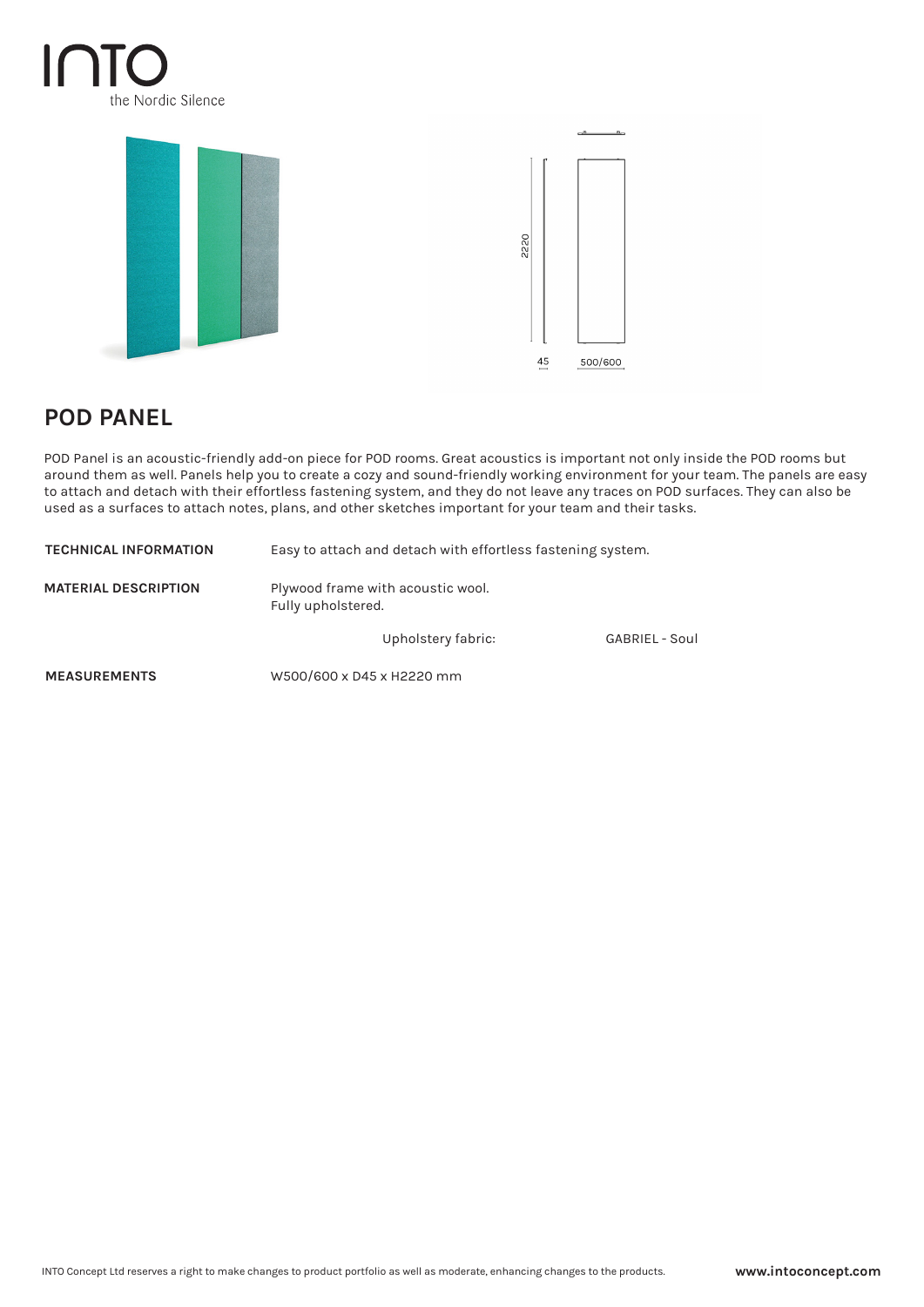## $\mathsf{I}\cap\mathsf{I}$ the Nordic Silence



## **POD PANEL**

POD Panel is an acoustic-friendly add-on piece for POD rooms. Great acoustics is important not only inside the POD rooms but around them as well. Panels help you to create a cozy and sound-friendly working environment for your team. The panels are easy to attach and detach with their effortless fastening system, and they do not leave any traces on POD surfaces. They can also be used as a surfaces to attach notes, plans, and other sketches important for your team and their tasks.

| <b>TECHNICAL INFORMATION</b> | Easy to attach and detach with effortless fastening system. |                       |
|------------------------------|-------------------------------------------------------------|-----------------------|
| <b>MATERIAL DESCRIPTION</b>  | Plywood frame with acoustic wool.<br>Fully upholstered.     |                       |
|                              | Upholstery fabric:                                          | <b>GABRIEL - Soul</b> |
| <b>MEASUREMENTS</b>          | W500/600 x D45 x H2220 mm                                   |                       |